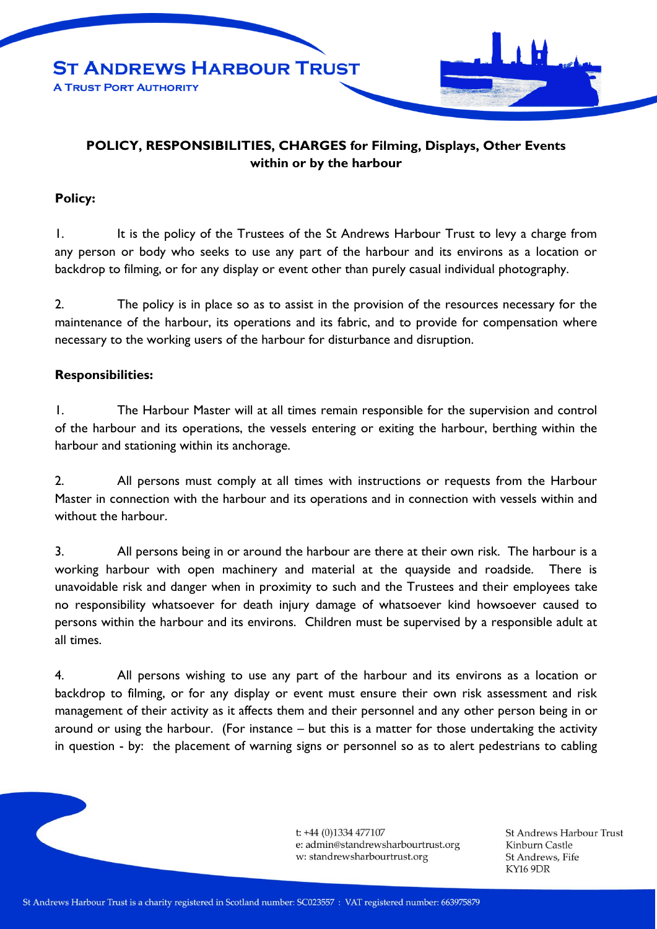

## **POLICY, RESPONSIBILITIES, CHARGES for Filming, Displays, Other Events within or by the harbour**

## **Policy:**

1. It is the policy of the Trustees of the St Andrews Harbour Trust to levy a charge from any person or body who seeks to use any part of the harbour and its environs as a location or backdrop to filming, or for any display or event other than purely casual individual photography.

2. The policy is in place so as to assist in the provision of the resources necessary for the maintenance of the harbour, its operations and its fabric, and to provide for compensation where necessary to the working users of the harbour for disturbance and disruption.

## **Responsibilities:**

1. The Harbour Master will at all times remain responsible for the supervision and control of the harbour and its operations, the vessels entering or exiting the harbour, berthing within the harbour and stationing within its anchorage.

2. All persons must comply at all times with instructions or requests from the Harbour Master in connection with the harbour and its operations and in connection with vessels within and without the harbour.

3. All persons being in or around the harbour are there at their own risk. The harbour is a working harbour with open machinery and material at the quayside and roadside. There is unavoidable risk and danger when in proximity to such and the Trustees and their employees take no responsibility whatsoever for death injury damage of whatsoever kind howsoever caused to persons within the harbour and its environs. Children must be supervised by a responsible adult at all times.

4. All persons wishing to use any part of the harbour and its environs as a location or backdrop to filming, or for any display or event must ensure their own risk assessment and risk management of their activity as it affects them and their personnel and any other person being in or around or using the harbour. (For instance – but this is a matter for those undertaking the activity in question - by: the placement of warning signs or personnel so as to alert pedestrians to cabling

> t: +44 (0)1334 477107 e: admin@standrewsharbourtrust.org w: standrewsharbourtrust.org

**St Andrews Harbour Trust** Kinburn Castle St Andrews, Fife KY16 9DR